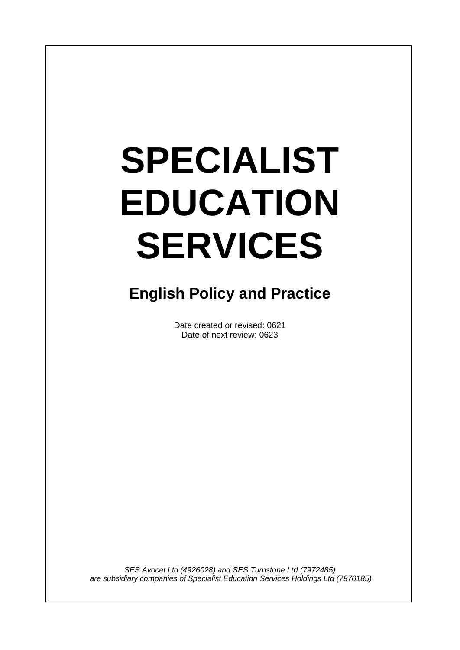# **SPECIALIST EDUCATION SERVICES**

I

# **English Policy and Practice**

Date created or revised: 0621 Date of next review: 0623

*SES Avocet Ltd (4926028) and SES Turnstone Ltd (7972485) are subsidiary companies of Specialist Education Services Holdings Ltd (7970185)*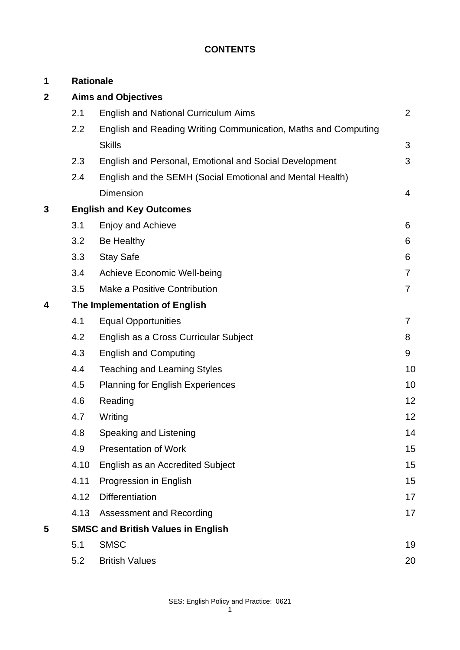# **CONTENTS**

| 1 | <b>Rationale</b>                |                                                                |                |
|---|---------------------------------|----------------------------------------------------------------|----------------|
| 2 | <b>Aims and Objectives</b>      |                                                                |                |
|   | 2.1                             | <b>English and National Curriculum Aims</b>                    | $\overline{2}$ |
|   | 2.2                             | English and Reading Writing Communication, Maths and Computing |                |
|   |                                 | <b>Skills</b>                                                  | 3              |
|   | 2.3                             | English and Personal, Emotional and Social Development         | 3              |
|   | 2.4                             | English and the SEMH (Social Emotional and Mental Health)      |                |
|   |                                 | <b>Dimension</b>                                               | $\overline{4}$ |
| 3 | <b>English and Key Outcomes</b> |                                                                |                |
|   | 3.1                             | Enjoy and Achieve                                              | 6              |
|   | 3.2                             | <b>Be Healthy</b>                                              | 6              |
|   | 3.3                             | <b>Stay Safe</b>                                               | 6              |
|   | 3.4                             | <b>Achieve Economic Well-being</b>                             | $\overline{7}$ |
|   | 3.5                             | Make a Positive Contribution                                   | $\overline{7}$ |
| 4 | The Implementation of English   |                                                                |                |
|   | 4.1                             | <b>Equal Opportunities</b>                                     | $\overline{7}$ |
|   | 4.2                             | English as a Cross Curricular Subject                          | 8              |
|   | 4.3                             | <b>English and Computing</b>                                   | 9              |
|   | 4.4                             | <b>Teaching and Learning Styles</b>                            | 10             |
|   | 4.5                             | <b>Planning for English Experiences</b>                        | 10             |
|   | 4.6                             | Reading                                                        | 12             |
|   | 4.7                             | Writing                                                        | 12             |
|   | 4.8                             | Speaking and Listening                                         | 14             |
|   | 4.9                             | <b>Presentation of Work</b>                                    | 15             |
|   | 4.10                            | English as an Accredited Subject                               | 15             |
|   | 4.11                            | Progression in English                                         | 15             |
|   | 4.12                            | Differentiation                                                | 17             |
|   | 4.13                            | <b>Assessment and Recording</b>                                | 17             |
| 5 |                                 | <b>SMSC and British Values in English</b>                      |                |
|   | 5.1                             | <b>SMSC</b>                                                    | 19             |
|   | 5.2                             | <b>British Values</b>                                          | 20             |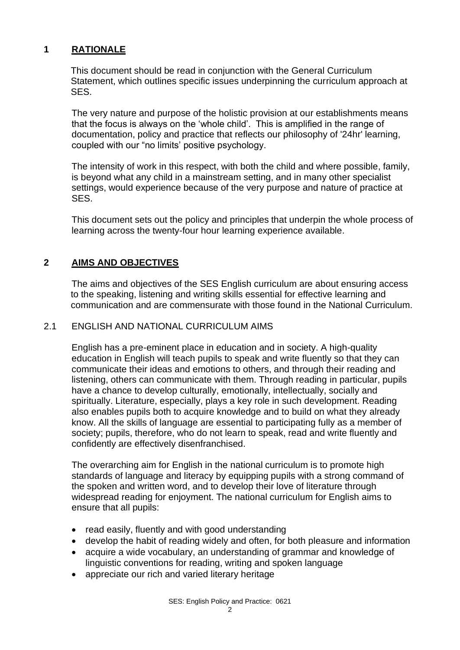# **1 RATIONALE**

This document should be read in conjunction with the General Curriculum Statement, which outlines specific issues underpinning the curriculum approach at SES.

The very nature and purpose of the holistic provision at our establishments means that the focus is always on the 'whole child'. This is amplified in the range of documentation, policy and practice that reflects our philosophy of '24hr' learning, coupled with our "no limits' positive psychology.

The intensity of work in this respect, with both the child and where possible, family, is beyond what any child in a mainstream setting, and in many other specialist settings, would experience because of the very purpose and nature of practice at SES.

This document sets out the policy and principles that underpin the whole process of learning across the twenty-four hour learning experience available.

# **2 AIMS AND OBJECTIVES**

The aims and objectives of the SES English curriculum are about ensuring access to the speaking, listening and writing skills essential for effective learning and communication and are commensurate with those found in the National Curriculum.

#### 2.1 ENGLISH AND NATIONAL CURRICULUM AIMS

English has a pre-eminent place in education and in society. A high-quality education in English will teach pupils to speak and write fluently so that they can communicate their ideas and emotions to others, and through their reading and listening, others can communicate with them. Through reading in particular, pupils have a chance to develop culturally, emotionally, intellectually, socially and spiritually. Literature, especially, plays a key role in such development. Reading also enables pupils both to acquire knowledge and to build on what they already know. All the skills of language are essential to participating fully as a member of society; pupils, therefore, who do not learn to speak, read and write fluently and confidently are effectively disenfranchised.

The overarching aim for English in the national curriculum is to promote high standards of language and literacy by equipping pupils with a strong command of the spoken and written word, and to develop their love of literature through widespread reading for enjoyment. The national curriculum for English aims to ensure that all pupils:

- read easily, fluently and with good understanding
- develop the habit of reading widely and often, for both pleasure and information
- acquire a wide vocabulary, an understanding of grammar and knowledge of linguistic conventions for reading, writing and spoken language
- appreciate our rich and varied literary heritage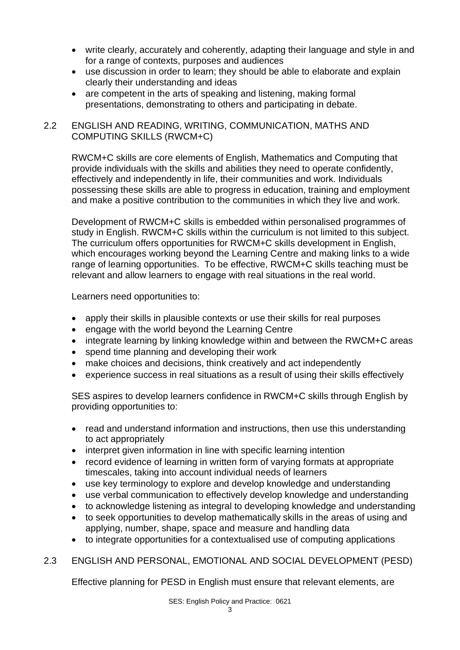- write clearly, accurately and coherently, adapting their language and style in and for a range of contexts, purposes and audiences
- use discussion in order to learn; they should be able to elaborate and explain clearly their understanding and ideas
- are competent in the arts of speaking and listening, making formal presentations, demonstrating to others and participating in debate.

# 2.2 ENGLISH AND READING, WRITING, COMMUNICATION, MATHS AND COMPUTING SKILLS (RWCM+C)

RWCM+C skills are core elements of English, Mathematics and Computing that provide individuals with the skills and abilities they need to operate confidently, effectively and independently in life, their communities and work. Individuals possessing these skills are able to progress in education, training and employment and make a positive contribution to the communities in which they live and work.

Development of RWCM+C skills is embedded within personalised programmes of study in English. RWCM+C skills within the curriculum is not limited to this subject. The curriculum offers opportunities for RWCM+C skills development in English, which encourages working beyond the Learning Centre and making links to a wide range of learning opportunities. To be effective, RWCM+C skills teaching must be relevant and allow learners to engage with real situations in the real world.

Learners need opportunities to:

- apply their skills in plausible contexts or use their skills for real purposes
- engage with the world beyond the Learning Centre
- integrate learning by linking knowledge within and between the RWCM+C areas
- spend time planning and developing their work
- make choices and decisions, think creatively and act independently
- experience success in real situations as a result of using their skills effectively

SES aspires to develop learners confidence in RWCM+C skills through English by providing opportunities to:

- read and understand information and instructions, then use this understanding to act appropriately
- interpret given information in line with specific learning intention
- record evidence of learning in written form of varying formats at appropriate timescales, taking into account individual needs of learners
- use key terminology to explore and develop knowledge and understanding
- use verbal communication to effectively develop knowledge and understanding
- to acknowledge listening as integral to developing knowledge and understanding
- to seek opportunities to develop mathematically skills in the areas of using and applying, number, shape, space and measure and handling data
- to integrate opportunities for a contextualised use of computing applications

# 2.3 ENGLISH AND PERSONAL, EMOTIONAL AND SOCIAL DEVELOPMENT (PESD)

Effective planning for PESD in English must ensure that relevant elements, are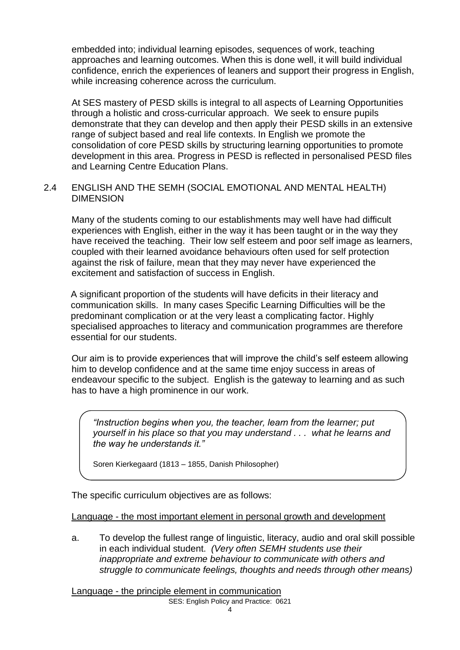embedded into; individual learning episodes, sequences of work, teaching approaches and learning outcomes. When this is done well, it will build individual confidence, enrich the experiences of leaners and support their progress in English, while increasing coherence across the curriculum.

At SES mastery of PESD skills is integral to all aspects of Learning Opportunities through a holistic and cross-curricular approach. We seek to ensure pupils demonstrate that they can develop and then apply their PESD skills in an extensive range of subject based and real life contexts. In English we promote the consolidation of core PESD skills by structuring learning opportunities to promote development in this area. Progress in PESD is reflected in personalised PESD files and Learning Centre Education Plans.

# 2.4 ENGLISH AND THE SEMH (SOCIAL EMOTIONAL AND MENTAL HEALTH) DIMENSION

Many of the students coming to our establishments may well have had difficult experiences with English, either in the way it has been taught or in the way they have received the teaching. Their low self esteem and poor self image as learners, coupled with their learned avoidance behaviours often used for self protection against the risk of failure, mean that they may never have experienced the excitement and satisfaction of success in English.

A significant proportion of the students will have deficits in their literacy and communication skills. In many cases Specific Learning Difficulties will be the predominant complication or at the very least a complicating factor. Highly specialised approaches to literacy and communication programmes are therefore essential for our students.

Our aim is to provide experiences that will improve the child's self esteem allowing him to develop confidence and at the same time enjoy success in areas of endeavour specific to the subject. English is the gateway to learning and as such has to have a high prominence in our work.

*"Instruction begins when you, the teacher, learn from the learner; put yourself in his place so that you may understand . . . what he learns and the way he understands it."*

Soren Kierkegaard (1813 – 1855, Danish Philosopher)

The specific curriculum objectives are as follows:

Language - the most important element in personal growth and development

a. To develop the fullest range of linguistic, literacy, audio and oral skill possible in each individual student. *(Very often SEMH students use their inappropriate and extreme behaviour to communicate with others and struggle to communicate feelings, thoughts and needs through other means)*

Language - the principle element in communication

SES: English Policy and Practice: 0621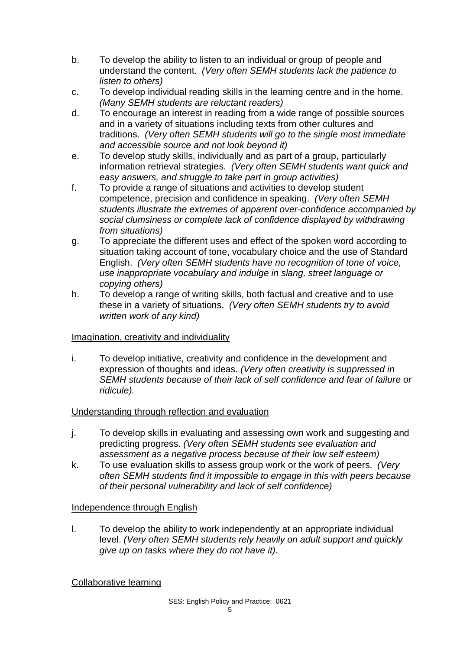- b. To develop the ability to listen to an individual or group of people and understand the content. *(Very often SEMH students lack the patience to listen to others)*
- c. To develop individual reading skills in the learning centre and in the home. *(Many SEMH students are reluctant readers)*
- d. To encourage an interest in reading from a wide range of possible sources and in a variety of situations including texts from other cultures and traditions. *(Very often SEMH students will go to the single most immediate and accessible source and not look beyond it)*
- e. To develop study skills, individually and as part of a group, particularly information retrieval strategies. *(Very often SEMH students want quick and easy answers, and struggle to take part in group activities)*
- f. To provide a range of situations and activities to develop student competence, precision and confidence in speaking. *(Very often SEMH students illustrate the extremes of apparent over-confidence accompanied by social clumsiness or complete lack of confidence displayed by withdrawing from situations)*
- g. To appreciate the different uses and effect of the spoken word according to situation taking account of tone, vocabulary choice and the use of Standard English. *(Very often SEMH students have no recognition of tone of voice, use inappropriate vocabulary and indulge in slang, street language or copying others)*
- h. To develop a range of writing skills, both factual and creative and to use these in a variety of situations. *(Very often SEMH students try to avoid written work of any kind)*

# Imagination, creativity and individuality

i. To develop initiative, creativity and confidence in the development and expression of thoughts and ideas. *(Very often creativity is suppressed in SEMH students because of their lack of self confidence and fear of failure or ridicule).*

# Understanding through reflection and evaluation

- j. To develop skills in evaluating and assessing own work and suggesting and predicting progress. *(Very often SEMH students see evaluation and assessment as a negative process because of their low self esteem)*
- k. To use evaluation skills to assess group work or the work of peers. *(Very often SEMH students find it impossible to engage in this with peers because of their personal vulnerability and lack of self confidence)*

# Independence through English

l. To develop the ability to work independently at an appropriate individual level. *(Very often SEMH students rely heavily on adult support and quickly give up on tasks where they do not have it).*

Collaborative learning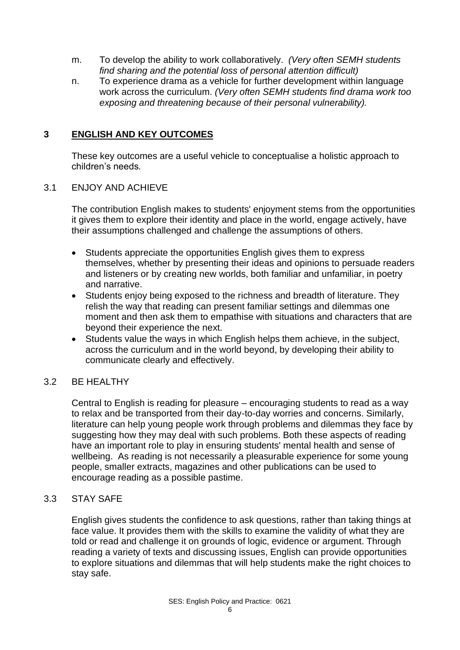- m. To develop the ability to work collaboratively. *(Very often SEMH students find sharing and the potential loss of personal attention difficult)*
- n. To experience drama as a vehicle for further development within language work across the curriculum. *(Very often SEMH students find drama work too exposing and threatening because of their personal vulnerability).*

# **3 ENGLISH AND KEY OUTCOMES**

These key outcomes are a useful vehicle to conceptualise a holistic approach to children's needs*.*

#### 3.1 ENJOY AND ACHIEVE

The contribution English makes to students' enjoyment stems from the opportunities it gives them to explore their identity and place in the world, engage actively, have their assumptions challenged and challenge the assumptions of others.

- Students appreciate the opportunities English gives them to express themselves, whether by presenting their ideas and opinions to persuade readers and listeners or by creating new worlds, both familiar and unfamiliar, in poetry and narrative.
- Students enjoy being exposed to the richness and breadth of literature. They relish the way that reading can present familiar settings and dilemmas one moment and then ask them to empathise with situations and characters that are beyond their experience the next.
- Students value the ways in which English helps them achieve, in the subject, across the curriculum and in the world beyond, by developing their ability to communicate clearly and effectively.

#### 3.2 BE HEALTHY

Central to English is reading for pleasure – encouraging students to read as a way to relax and be transported from their day-to-day worries and concerns. Similarly, literature can help young people work through problems and dilemmas they face by suggesting how they may deal with such problems. Both these aspects of reading have an important role to play in ensuring students' mental health and sense of wellbeing. As reading is not necessarily a pleasurable experience for some young people, smaller extracts, magazines and other publications can be used to encourage reading as a possible pastime.

#### 3.3 STAY SAFE

English gives students the confidence to ask questions, rather than taking things at face value. It provides them with the skills to examine the validity of what they are told or read and challenge it on grounds of logic, evidence or argument. Through reading a variety of texts and discussing issues, English can provide opportunities to explore situations and dilemmas that will help students make the right choices to stay safe.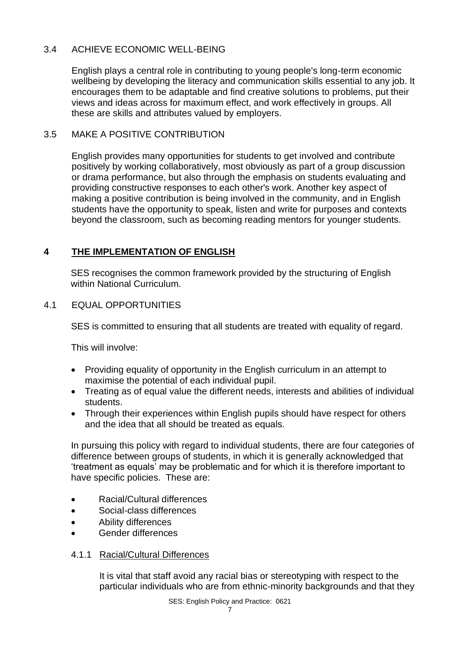# 3.4 ACHIEVE ECONOMIC WELL-BEING

English plays a central role in contributing to young people's long-term economic wellbeing by developing the literacy and communication skills essential to any job. It encourages them to be adaptable and find creative solutions to problems, put their views and ideas across for maximum effect, and work effectively in groups. All these are skills and attributes valued by employers.

# 3.5 MAKE A POSITIVE CONTRIBUTION

English provides many opportunities for students to get involved and contribute positively by working collaboratively, most obviously as part of a group discussion or drama performance, but also through the emphasis on students evaluating and providing constructive responses to each other's work. Another key aspect of making a positive contribution is being involved in the community, and in English students have the opportunity to speak, listen and write for purposes and contexts beyond the classroom, such as becoming reading mentors for younger students.

# **4 THE IMPLEMENTATION OF ENGLISH**

SES recognises the common framework provided by the structuring of English within National Curriculum.

# 4.1 EQUAL OPPORTUNITIES

SES is committed to ensuring that all students are treated with equality of regard.

This will involve:

- Providing equality of opportunity in the English curriculum in an attempt to maximise the potential of each individual pupil.
- Treating as of equal value the different needs, interests and abilities of individual students.
- Through their experiences within English pupils should have respect for others and the idea that all should be treated as equals.

In pursuing this policy with regard to individual students, there are four categories of difference between groups of students, in which it is generally acknowledged that 'treatment as equals' may be problematic and for which it is therefore important to have specific policies. These are:

- Racial/Cultural differences
- Social-class differences
- Ability differences
- Gender differences

#### 4.1.1 Racial/Cultural Differences

It is vital that staff avoid any racial bias or stereotyping with respect to the particular individuals who are from ethnic-minority backgrounds and that they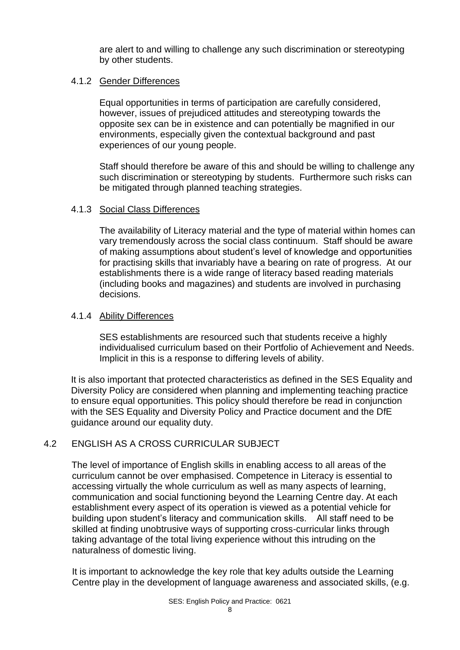are alert to and willing to challenge any such discrimination or stereotyping by other students.

#### 4.1.2 Gender Differences

Equal opportunities in terms of participation are carefully considered, however, issues of prejudiced attitudes and stereotyping towards the opposite sex can be in existence and can potentially be magnified in our environments, especially given the contextual background and past experiences of our young people.

Staff should therefore be aware of this and should be willing to challenge any such discrimination or stereotyping by students. Furthermore such risks can be mitigated through planned teaching strategies.

# 4.1.3 Social Class Differences

The availability of Literacy material and the type of material within homes can vary tremendously across the social class continuum. Staff should be aware of making assumptions about student's level of knowledge and opportunities for practising skills that invariably have a bearing on rate of progress. At our establishments there is a wide range of literacy based reading materials (including books and magazines) and students are involved in purchasing decisions.

#### 4.1.4 Ability Differences

SES establishments are resourced such that students receive a highly individualised curriculum based on their Portfolio of Achievement and Needs. Implicit in this is a response to differing levels of ability.

It is also important that protected characteristics as defined in the SES Equality and Diversity Policy are considered when planning and implementing teaching practice to ensure equal opportunities. This policy should therefore be read in conjunction with the SES Equality and Diversity Policy and Practice document and the DfE guidance around our equality duty.

# 4.2 ENGLISH AS A CROSS CURRICULAR SUBJECT

The level of importance of English skills in enabling access to all areas of the curriculum cannot be over emphasised. Competence in Literacy is essential to accessing virtually the whole curriculum as well as many aspects of learning, communication and social functioning beyond the Learning Centre day. At each establishment every aspect of its operation is viewed as a potential vehicle for building upon student's literacy and communication skills. All staff need to be skilled at finding unobtrusive ways of supporting cross-curricular links through taking advantage of the total living experience without this intruding on the naturalness of domestic living.

It is important to acknowledge the key role that key adults outside the Learning Centre play in the development of language awareness and associated skills, (e.g.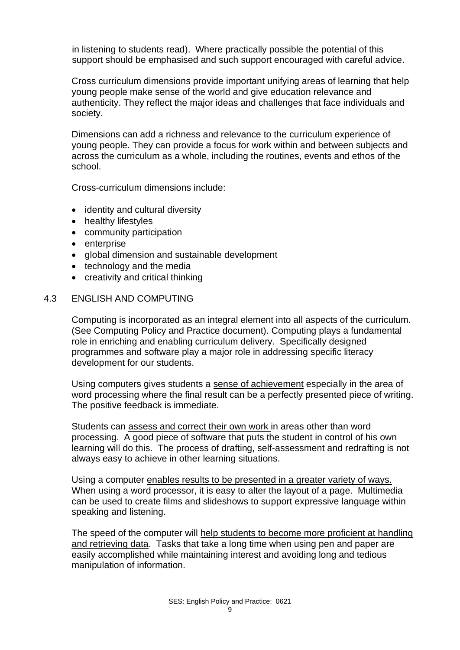in listening to students read). Where practically possible the potential of this support should be emphasised and such support encouraged with careful advice.

Cross curriculum dimensions provide important unifying areas of learning that help young people make sense of the world and give education relevance and authenticity. They reflect the major ideas and challenges that face individuals and society.

Dimensions can add a richness and relevance to the curriculum experience of young people. They can provide a focus for work within and between subjects and across the curriculum as a whole, including the routines, events and ethos of the school.

Cross-curriculum dimensions include:

- identity and cultural diversity
- healthy lifestyles
- community participation
- enterprise
- global dimension and sustainable development
- technology and the media
- creativity and critical thinking

#### 4.3 ENGLISH AND COMPUTING

Computing is incorporated as an integral element into all aspects of the curriculum. (See Computing Policy and Practice document). Computing plays a fundamental role in enriching and enabling curriculum delivery. Specifically designed programmes and software play a major role in addressing specific literacy development for our students.

Using computers gives students a sense of achievement especially in the area of word processing where the final result can be a perfectly presented piece of writing. The positive feedback is immediate.

Students can assess and correct their own work in areas other than word processing. A good piece of software that puts the student in control of his own learning will do this. The process of drafting, self-assessment and redrafting is not always easy to achieve in other learning situations.

Using a computer enables results to be presented in a greater variety of ways. When using a word processor, it is easy to alter the layout of a page. Multimedia can be used to create films and slideshows to support expressive language within speaking and listening.

The speed of the computer will help students to become more proficient at handling and retrieving data. Tasks that take a long time when using pen and paper are easily accomplished while maintaining interest and avoiding long and tedious manipulation of information.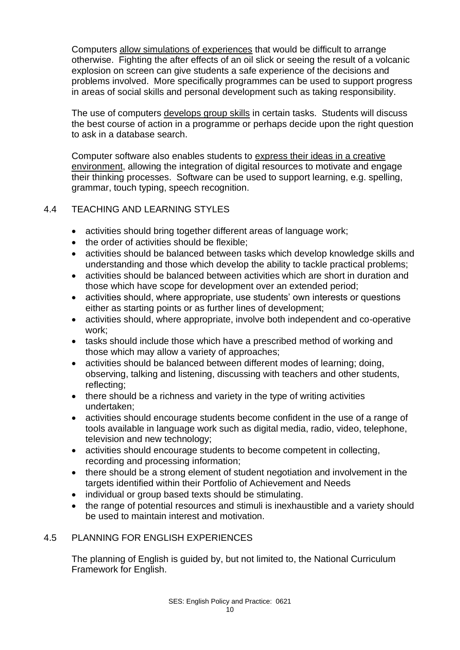Computers allow simulations of experiences that would be difficult to arrange otherwise. Fighting the after effects of an oil slick or seeing the result of a volcanic explosion on screen can give students a safe experience of the decisions and problems involved. More specifically programmes can be used to support progress in areas of social skills and personal development such as taking responsibility.

The use of computers develops group skills in certain tasks. Students will discuss the best course of action in a programme or perhaps decide upon the right question to ask in a database search.

Computer software also enables students to express their ideas in a creative environment, allowing the integration of digital resources to motivate and engage their thinking processes. Software can be used to support learning, e.g. spelling, grammar, touch typing, speech recognition.

# 4.4 TEACHING AND LEARNING STYLES

- activities should bring together different areas of language work;
- the order of activities should be flexible;
- activities should be balanced between tasks which develop knowledge skills and understanding and those which develop the ability to tackle practical problems;
- activities should be balanced between activities which are short in duration and those which have scope for development over an extended period;
- activities should, where appropriate, use students' own interests or questions either as starting points or as further lines of development;
- activities should, where appropriate, involve both independent and co-operative work;
- tasks should include those which have a prescribed method of working and those which may allow a variety of approaches;
- activities should be balanced between different modes of learning; doing, observing, talking and listening, discussing with teachers and other students, reflecting;
- there should be a richness and variety in the type of writing activities undertaken;
- activities should encourage students become confident in the use of a range of tools available in language work such as digital media, radio, video, telephone, television and new technology;
- activities should encourage students to become competent in collecting, recording and processing information;
- there should be a strong element of student negotiation and involvement in the targets identified within their Portfolio of Achievement and Needs
- individual or group based texts should be stimulating.
- the range of potential resources and stimuli is inexhaustible and a variety should be used to maintain interest and motivation.

# 4.5 PLANNING FOR ENGLISH EXPERIENCES

The planning of English is guided by, but not limited to, the National Curriculum Framework for English.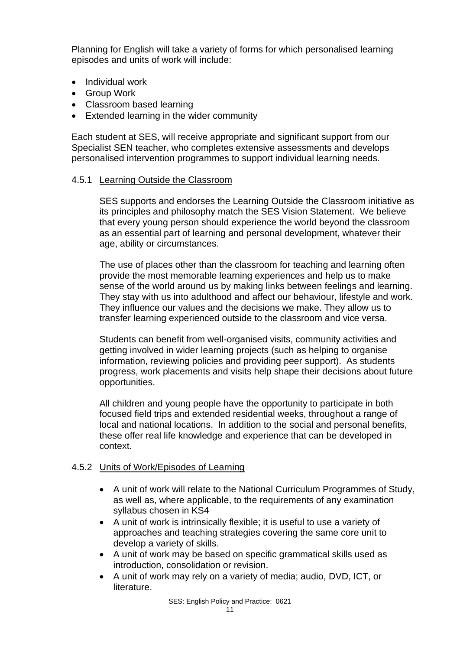Planning for English will take a variety of forms for which personalised learning episodes and units of work will include:

- Individual work
- Group Work
- Classroom based learning
- Extended learning in the wider community

Each student at SES, will receive appropriate and significant support from our Specialist SEN teacher, who completes extensive assessments and develops personalised intervention programmes to support individual learning needs.

#### 4.5.1 Learning Outside the Classroom

SES supports and endorses the Learning Outside the Classroom initiative as its principles and philosophy match the SES Vision Statement. We believe that every young person should experience the world beyond the classroom as an essential part of learning and personal development, whatever their age, ability or circumstances.

The use of places other than the classroom for teaching and learning often provide the most memorable learning experiences and help us to make sense of the world around us by making links between feelings and learning. They stay with us into adulthood and affect our behaviour, lifestyle and work. They influence our values and the decisions we make. They allow us to transfer learning experienced outside to the classroom and vice versa.

Students can benefit from well-organised visits, community activities and getting involved in wider learning projects (such as helping to organise information, reviewing policies and providing peer support). As students progress, work placements and visits help shape their decisions about future opportunities.

All children and young people have the opportunity to participate in both focused field trips and extended residential weeks, throughout a range of local and national locations. In addition to the social and personal benefits, these offer real life knowledge and experience that can be developed in context.

#### 4.5.2 Units of Work/Episodes of Learning

- A unit of work will relate to the National Curriculum Programmes of Study, as well as, where applicable, to the requirements of any examination syllabus chosen in KS4
- A unit of work is intrinsically flexible; it is useful to use a variety of approaches and teaching strategies covering the same core unit to develop a variety of skills.
- A unit of work may be based on specific grammatical skills used as introduction, consolidation or revision.
- A unit of work may rely on a variety of media; audio, DVD, ICT, or literature.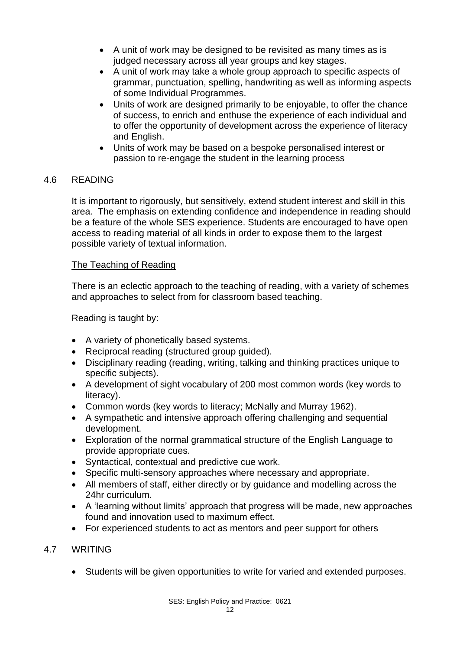- A unit of work may be designed to be revisited as many times as is judged necessary across all year groups and key stages.
- A unit of work may take a whole group approach to specific aspects of grammar, punctuation, spelling, handwriting as well as informing aspects of some Individual Programmes.
- Units of work are designed primarily to be enjoyable, to offer the chance of success, to enrich and enthuse the experience of each individual and to offer the opportunity of development across the experience of literacy and English.
- Units of work may be based on a bespoke personalised interest or passion to re-engage the student in the learning process

#### 4.6 READING

It is important to rigorously, but sensitively, extend student interest and skill in this area. The emphasis on extending confidence and independence in reading should be a feature of the whole SES experience. Students are encouraged to have open access to reading material of all kinds in order to expose them to the largest possible variety of textual information.

#### The Teaching of Reading

There is an eclectic approach to the teaching of reading, with a variety of schemes and approaches to select from for classroom based teaching.

Reading is taught by:

- A variety of phonetically based systems.
- Reciprocal reading (structured group guided).
- Disciplinary reading (reading, writing, talking and thinking practices unique to specific subjects).
- A development of sight vocabulary of 200 most common words (key words to literacy).
- Common words (key words to literacy; McNally and Murray 1962).
- A sympathetic and intensive approach offering challenging and sequential development.
- Exploration of the normal grammatical structure of the English Language to provide appropriate cues.
- Syntactical, contextual and predictive cue work.
- Specific multi-sensory approaches where necessary and appropriate.
- All members of staff, either directly or by guidance and modelling across the 24hr curriculum.
- A 'learning without limits' approach that progress will be made, new approaches found and innovation used to maximum effect.
- For experienced students to act as mentors and peer support for others

# 4.7 WRITING

• Students will be given opportunities to write for varied and extended purposes.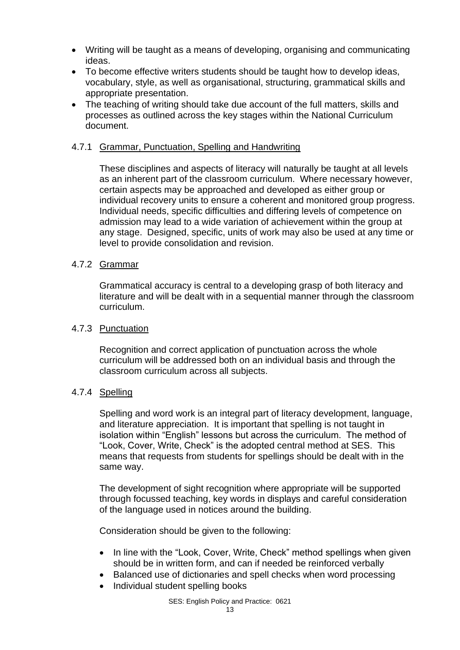- Writing will be taught as a means of developing, organising and communicating ideas.
- To become effective writers students should be taught how to develop ideas, vocabulary, style, as well as organisational, structuring, grammatical skills and appropriate presentation.
- The teaching of writing should take due account of the full matters, skills and processes as outlined across the key stages within the National Curriculum document.

#### 4.7.1 Grammar, Punctuation, Spelling and Handwriting

These disciplines and aspects of literacy will naturally be taught at all levels as an inherent part of the classroom curriculum. Where necessary however, certain aspects may be approached and developed as either group or individual recovery units to ensure a coherent and monitored group progress. Individual needs, specific difficulties and differing levels of competence on admission may lead to a wide variation of achievement within the group at any stage. Designed, specific, units of work may also be used at any time or level to provide consolidation and revision.

#### 4.7.2 Grammar

Grammatical accuracy is central to a developing grasp of both literacy and literature and will be dealt with in a sequential manner through the classroom curriculum.

#### 4.7.3 Punctuation

Recognition and correct application of punctuation across the whole curriculum will be addressed both on an individual basis and through the classroom curriculum across all subjects.

#### 4.7.4 Spelling

Spelling and word work is an integral part of literacy development, language, and literature appreciation. It is important that spelling is not taught in isolation within "English" lessons but across the curriculum. The method of "Look, Cover, Write, Check" is the adopted central method at SES. This means that requests from students for spellings should be dealt with in the same way.

The development of sight recognition where appropriate will be supported through focussed teaching, key words in displays and careful consideration of the language used in notices around the building.

Consideration should be given to the following:

- In line with the "Look, Cover, Write, Check" method spellings when given should be in written form, and can if needed be reinforced verbally
- Balanced use of dictionaries and spell checks when word processing
- Individual student spelling books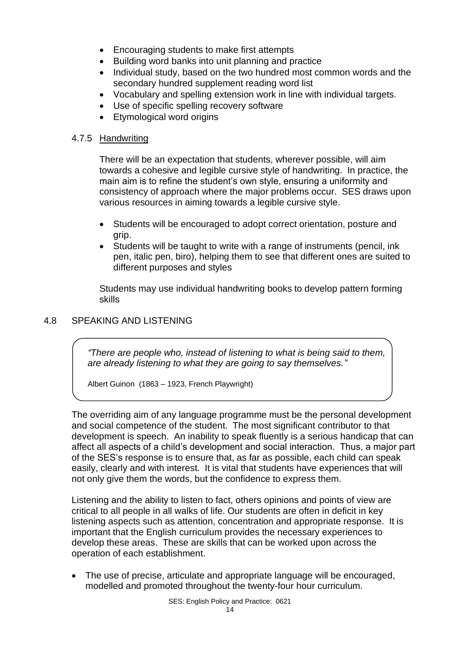- Encouraging students to make first attempts
- Building word banks into unit planning and practice
- Individual study, based on the two hundred most common words and the secondary hundred supplement reading word list
- Vocabulary and spelling extension work in line with individual targets.
- Use of specific spelling recovery software
- Etymological word origins

# 4.7.5 Handwriting

There will be an expectation that students, wherever possible, will aim towards a cohesive and legible cursive style of handwriting. In practice, the main aim is to refine the student's own style, ensuring a uniformity and consistency of approach where the major problems occur. SES draws upon various resources in aiming towards a legible cursive style.

- Students will be encouraged to adopt correct orientation, posture and grip.
- Students will be taught to write with a range of instruments (pencil, ink pen, italic pen, biro), helping them to see that different ones are suited to different purposes and styles

Students may use individual handwriting books to develop pattern forming skills

# 4.8 SPEAKING AND LISTENING

*"There are people who, instead of listening to what is being said to them, are already listening to what they are going to say themselves."*

Albert Guinon (1863 – 1923, French Playwright)

The overriding aim of any language programme must be the personal development and social competence of the student. The most significant contributor to that development is speech. An inability to speak fluently is a serious handicap that can affect all aspects of a child's development and social interaction. Thus, a major part of the SES's response is to ensure that, as far as possible, each child can speak easily, clearly and with interest. It is vital that students have experiences that will not only give them the words, but the confidence to express them.

Listening and the ability to listen to fact, others opinions and points of view are critical to all people in all walks of life. Our students are often in deficit in key listening aspects such as attention, concentration and appropriate response. It is important that the English curriculum provides the necessary experiences to develop these areas. These are skills that can be worked upon across the operation of each establishment.

• The use of precise, articulate and appropriate language will be encouraged, modelled and promoted throughout the twenty-four hour curriculum.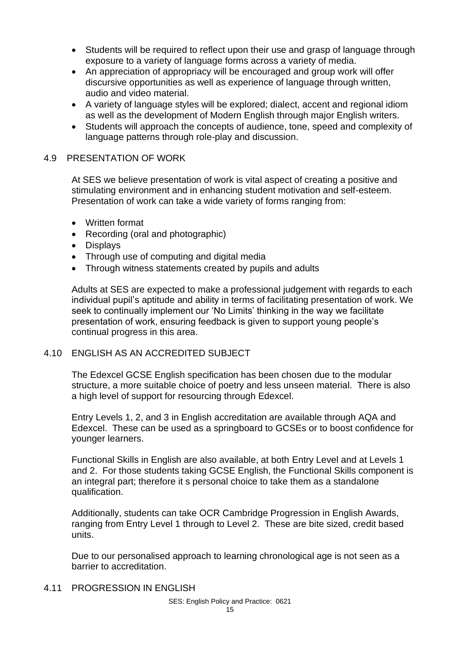- Students will be required to reflect upon their use and grasp of language through exposure to a variety of language forms across a variety of media.
- An appreciation of appropriacy will be encouraged and group work will offer discursive opportunities as well as experience of language through written, audio and video material.
- A variety of language styles will be explored; dialect, accent and regional idiom as well as the development of Modern English through major English writers.
- Students will approach the concepts of audience, tone, speed and complexity of language patterns through role-play and discussion.

#### 4.9 PRESENTATION OF WORK

At SES we believe presentation of work is vital aspect of creating a positive and stimulating environment and in enhancing student motivation and self-esteem. Presentation of work can take a wide variety of forms ranging from:

- Written format
- Recording (oral and photographic)
- Displays
- Through use of computing and digital media
- Through witness statements created by pupils and adults

Adults at SES are expected to make a professional judgement with regards to each individual pupil's aptitude and ability in terms of facilitating presentation of work. We seek to continually implement our 'No Limits' thinking in the way we facilitate presentation of work, ensuring feedback is given to support young people's continual progress in this area.

#### 4.10 ENGLISH AS AN ACCREDITED SUBJECT

The Edexcel GCSE English specification has been chosen due to the modular structure, a more suitable choice of poetry and less unseen material. There is also a high level of support for resourcing through Edexcel.

Entry Levels 1, 2, and 3 in English accreditation are available through AQA and Edexcel. These can be used as a springboard to GCSEs or to boost confidence for younger learners.

Functional Skills in English are also available, at both Entry Level and at Levels 1 and 2. For those students taking GCSE English, the Functional Skills component is an integral part; therefore it s personal choice to take them as a standalone qualification.

Additionally, students can take OCR Cambridge Progression in English Awards, ranging from Entry Level 1 through to Level 2. These are bite sized, credit based units.

Due to our personalised approach to learning chronological age is not seen as a barrier to accreditation.

4.11 PROGRESSION IN ENGLISH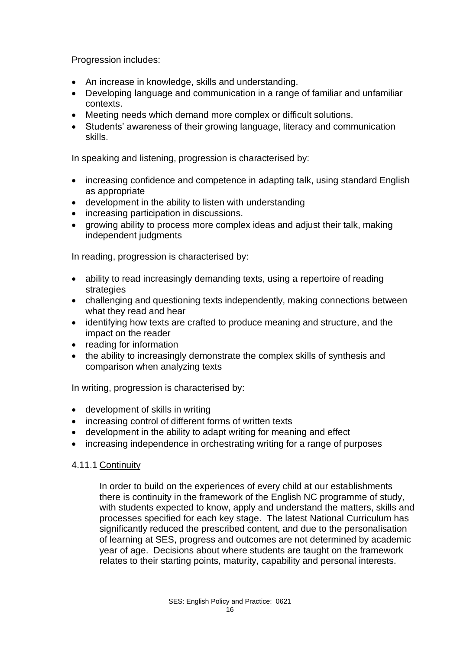Progression includes:

- An increase in knowledge, skills and understanding.
- Developing language and communication in a range of familiar and unfamiliar contexts.
- Meeting needs which demand more complex or difficult solutions.
- Students' awareness of their growing language, literacy and communication skills.

In speaking and listening, progression is characterised by:

- increasing confidence and competence in adapting talk, using standard English as appropriate
- development in the ability to listen with understanding
- increasing participation in discussions.
- growing ability to process more complex ideas and adjust their talk, making independent judgments

In reading, progression is characterised by:

- ability to read increasingly demanding texts, using a repertoire of reading strategies
- challenging and questioning texts independently, making connections between what they read and hear
- identifying how texts are crafted to produce meaning and structure, and the impact on the reader
- reading for information
- the ability to increasingly demonstrate the complex skills of synthesis and comparison when analyzing texts

In writing, progression is characterised by:

- development of skills in writing
- increasing control of different forms of written texts
- development in the ability to adapt writing for meaning and effect
- increasing independence in orchestrating writing for a range of purposes

# 4.11.1 Continuity

In order to build on the experiences of every child at our establishments there is continuity in the framework of the English NC programme of study, with students expected to know, apply and understand the matters, skills and processes specified for each key stage. The latest National Curriculum has significantly reduced the prescribed content, and due to the personalisation of learning at SES, progress and outcomes are not determined by academic year of age. Decisions about where students are taught on the framework relates to their starting points, maturity, capability and personal interests.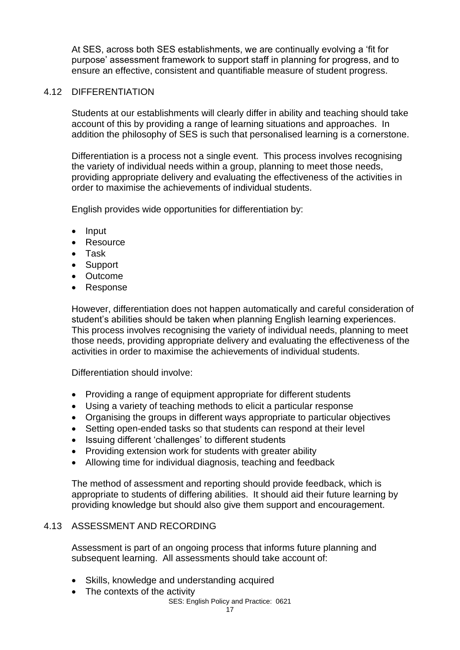At SES, across both SES establishments, we are continually evolving a 'fit for purpose' assessment framework to support staff in planning for progress, and to ensure an effective, consistent and quantifiable measure of student progress.

#### 4.12 DIFFERENTIATION

Students at our establishments will clearly differ in ability and teaching should take account of this by providing a range of learning situations and approaches. In addition the philosophy of SES is such that personalised learning is a cornerstone.

Differentiation is a process not a single event. This process involves recognising the variety of individual needs within a group, planning to meet those needs, providing appropriate delivery and evaluating the effectiveness of the activities in order to maximise the achievements of individual students.

English provides wide opportunities for differentiation by:

- Input
- Resource
- Task
- Support
- Outcome
- Response

However, differentiation does not happen automatically and careful consideration of student's abilities should be taken when planning English learning experiences. This process involves recognising the variety of individual needs, planning to meet those needs, providing appropriate delivery and evaluating the effectiveness of the activities in order to maximise the achievements of individual students.

Differentiation should involve:

- Providing a range of equipment appropriate for different students
- Using a variety of teaching methods to elicit a particular response
- Organising the groups in different ways appropriate to particular objectives
- Setting open-ended tasks so that students can respond at their level
- Issuing different 'challenges' to different students
- Providing extension work for students with greater ability
- Allowing time for individual diagnosis, teaching and feedback

The method of assessment and reporting should provide feedback, which is appropriate to students of differing abilities. It should aid their future learning by providing knowledge but should also give them support and encouragement.

#### 4.13 ASSESSMENT AND RECORDING

Assessment is part of an ongoing process that informs future planning and subsequent learning. All assessments should take account of:

- Skills, knowledge and understanding acquired
- The contexts of the activity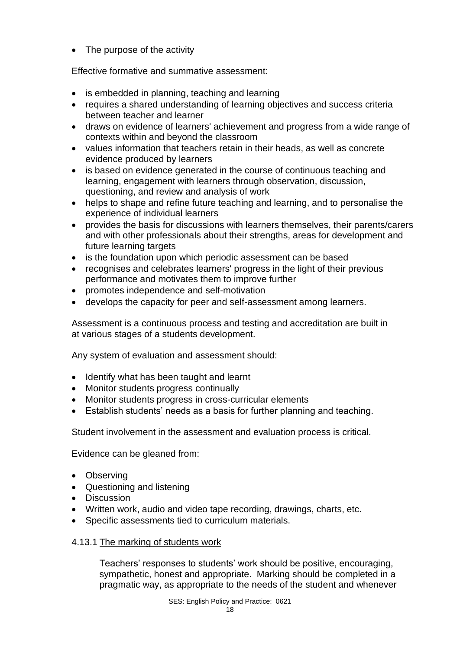• The purpose of the activity

Effective formative and summative assessment:

- is embedded in planning, teaching and learning
- requires a shared understanding of learning objectives and success criteria between teacher and learner
- draws on evidence of learners' achievement and progress from a wide range of contexts within and beyond the classroom
- values information that teachers retain in their heads, as well as concrete evidence produced by learners
- is based on evidence generated in the course of continuous teaching and learning, engagement with learners through observation, discussion, questioning, and review and analysis of work
- helps to shape and refine future teaching and learning, and to personalise the experience of individual learners
- provides the basis for discussions with learners themselves, their parents/carers and with other professionals about their strengths, areas for development and future learning targets
- is the foundation upon which periodic assessment can be based
- recognises and celebrates learners' progress in the light of their previous performance and motivates them to improve further
- promotes independence and self-motivation
- develops the capacity for peer and self-assessment among learners.

Assessment is a continuous process and testing and accreditation are built in at various stages of a students development.

Any system of evaluation and assessment should:

- Identify what has been taught and learnt
- Monitor students progress continually
- Monitor students progress in cross-curricular elements
- Establish students' needs as a basis for further planning and teaching.

Student involvement in the assessment and evaluation process is critical.

Evidence can be gleaned from:

- Observing
- Questioning and listening
- Discussion
- Written work, audio and video tape recording, drawings, charts, etc.
- Specific assessments tied to curriculum materials.

#### 4.13.1 The marking of students work

Teachers' responses to students' work should be positive, encouraging, sympathetic, honest and appropriate. Marking should be completed in a pragmatic way, as appropriate to the needs of the student and whenever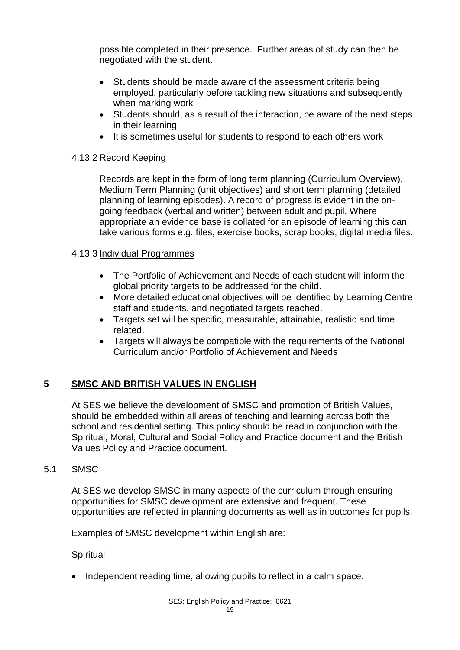possible completed in their presence. Further areas of study can then be negotiated with the student.

- Students should be made aware of the assessment criteria being employed, particularly before tackling new situations and subsequently when marking work
- Students should, as a result of the interaction, be aware of the next steps in their learning
- It is sometimes useful for students to respond to each others work

#### 4.13.2 Record Keeping

Records are kept in the form of long term planning (Curriculum Overview), Medium Term Planning (unit objectives) and short term planning (detailed planning of learning episodes). A record of progress is evident in the ongoing feedback (verbal and written) between adult and pupil. Where appropriate an evidence base is collated for an episode of learning this can take various forms e.g. files, exercise books, scrap books, digital media files.

# 4.13.3 Individual Programmes

- The Portfolio of Achievement and Needs of each student will inform the global priority targets to be addressed for the child.
- More detailed educational objectives will be identified by Learning Centre staff and students, and negotiated targets reached.
- Targets set will be specific, measurable, attainable, realistic and time related.
- Targets will always be compatible with the requirements of the National Curriculum and/or Portfolio of Achievement and Needs

# **5 SMSC AND BRITISH VALUES IN ENGLISH**

At SES we believe the development of SMSC and promotion of British Values, should be embedded within all areas of teaching and learning across both the school and residential setting. This policy should be read in conjunction with the Spiritual, Moral, Cultural and Social Policy and Practice document and the British Values Policy and Practice document.

#### 5.1 SMSC

At SES we develop SMSC in many aspects of the curriculum through ensuring opportunities for SMSC development are extensive and frequent. These opportunities are reflected in planning documents as well as in outcomes for pupils.

Examples of SMSC development within English are:

#### **Spiritual**

• Independent reading time, allowing pupils to reflect in a calm space.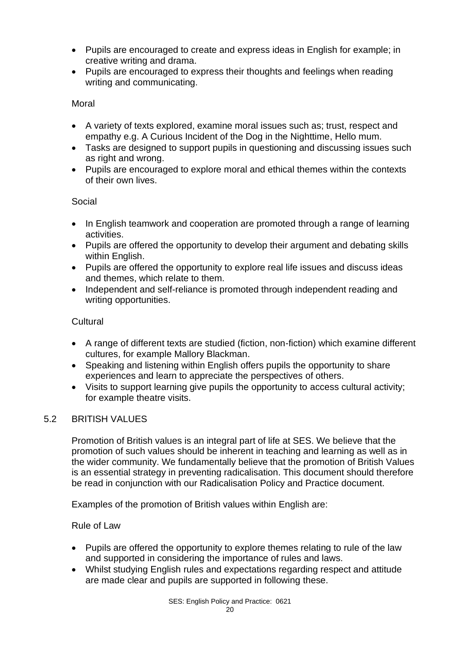- Pupils are encouraged to create and express ideas in English for example; in creative writing and drama.
- Pupils are encouraged to express their thoughts and feelings when reading writing and communicating.

# Moral

- A variety of texts explored, examine moral issues such as; trust, respect and empathy e.g. A Curious Incident of the Dog in the Nighttime, Hello mum.
- Tasks are designed to support pupils in questioning and discussing issues such as right and wrong.
- Pupils are encouraged to explore moral and ethical themes within the contexts of their own lives.

# Social

- In English teamwork and cooperation are promoted through a range of learning activities.
- Pupils are offered the opportunity to develop their argument and debating skills within English.
- Pupils are offered the opportunity to explore real life issues and discuss ideas and themes, which relate to them.
- Independent and self-reliance is promoted through independent reading and writing opportunities.

# **Cultural**

- A range of different texts are studied (fiction, non-fiction) which examine different cultures, for example Mallory Blackman.
- Speaking and listening within English offers pupils the opportunity to share experiences and learn to appreciate the perspectives of others.
- Visits to support learning give pupils the opportunity to access cultural activity; for example theatre visits.

#### 5.2 BRITISH VALUES

Promotion of British values is an integral part of life at SES. We believe that the promotion of such values should be inherent in teaching and learning as well as in the wider community. We fundamentally believe that the promotion of British Values is an essential strategy in preventing radicalisation. This document should therefore be read in conjunction with our Radicalisation Policy and Practice document.

Examples of the promotion of British values within English are:

#### Rule of Law

- Pupils are offered the opportunity to explore themes relating to rule of the law and supported in considering the importance of rules and laws.
- Whilst studying English rules and expectations regarding respect and attitude are made clear and pupils are supported in following these.